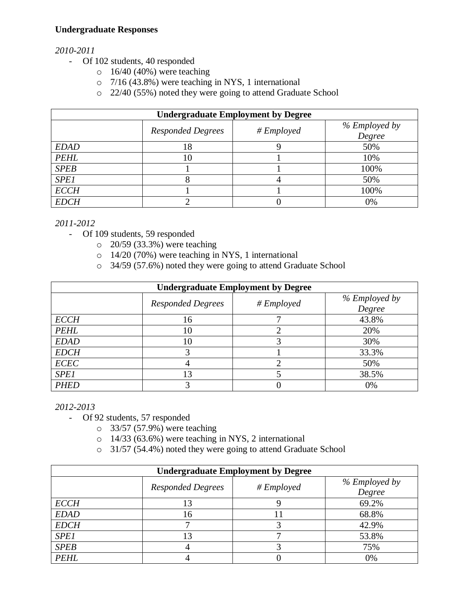## **Undergraduate Responses**

## *2010-2011*

- Of 102 students, 40 responded
	- $\circ$  16/40 (40%) were teaching
	- o 7/16 (43.8%) were teaching in NYS, 1 international
	- o 22/40 (55%) noted they were going to attend Graduate School

| <b>Undergraduate Employment by Degree</b> |                          |                          |                         |
|-------------------------------------------|--------------------------|--------------------------|-------------------------|
|                                           | <b>Responded Degrees</b> | $# \n \textit{Employee}$ | % Employed by<br>Degree |
| <b>EDAD</b>                               | 18                       |                          | 50%                     |
| <b>PEHL</b>                               | 10                       |                          | 10%                     |
| <b>SPEB</b>                               |                          |                          | 100%                    |
| <b>SPE1</b>                               |                          | 4                        | 50%                     |
| <b>ECCH</b>                               |                          |                          | 100%                    |
| <b>EDCH</b>                               |                          |                          | 0%                      |

*2011-2012*

- Of 109 students, 59 responded
	- o 20/59 (33.3%) were teaching
	- o 14/20 (70%) were teaching in NYS, 1 international
	- o 34/59 (57.6%) noted they were going to attend Graduate School

| <b>Undergraduate Employment by Degree</b> |                          |                          |               |
|-------------------------------------------|--------------------------|--------------------------|---------------|
|                                           | <b>Responded Degrees</b> | $# \n \textit{Employee}$ | % Employed by |
|                                           |                          |                          | Degree        |
| <b>ECCH</b>                               | 16                       |                          | 43.8%         |
| <b>PEHL</b>                               | 10                       |                          | 20%           |
| <b>EDAD</b>                               | 10                       |                          | 30%           |
| <b>EDCH</b>                               |                          |                          | 33.3%         |
| <b>ECEC</b>                               |                          |                          | 50%           |
| <b>SPE1</b>                               | 13                       |                          | 38.5%         |
| <b>PHED</b>                               |                          |                          | 0%            |

*2012-2013*

- Of 92 students, 57 responded

- o 33/57 (57.9%) were teaching
- o 14/33 (63.6%) were teaching in NYS, 2 international
- o 31/57 (54.4%) noted they were going to attend Graduate School

| <b>Undergraduate Employment by Degree</b> |                          |                          |                         |
|-------------------------------------------|--------------------------|--------------------------|-------------------------|
|                                           | <b>Responded Degrees</b> | $# \n \textit{Employee}$ | % Employed by<br>Degree |
| <b>ECCH</b>                               | 13                       |                          | 69.2%                   |
| <b>EDAD</b>                               | 16                       |                          | 68.8%                   |
| <b>EDCH</b>                               |                          |                          | 42.9%                   |
| <b>SPE1</b>                               | 13                       |                          | 53.8%                   |
| <b>SPEB</b>                               |                          |                          | 75%                     |
| <b>PEHL</b>                               |                          |                          | 0%                      |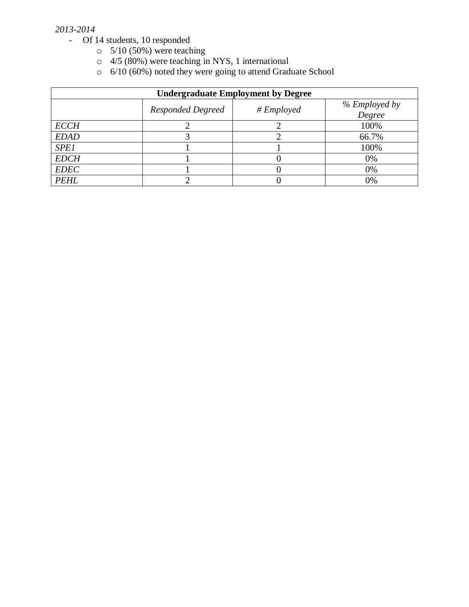#### *2013-2014*

- Of 14 students, 10 responded
	- $\circ$  5/10 (50%) were teaching
	- $\circ$  4/5 (80%) were teaching in NYS, 1 international
	- o 6/10 (60%) noted they were going to attend Graduate School

| <b>Undergraduate Employment by Degree</b> |                          |                          |                         |
|-------------------------------------------|--------------------------|--------------------------|-------------------------|
|                                           | <b>Responded Degreed</b> | $# \n \textit{Employee}$ | % Employed by<br>Degree |
| <b>ECCH</b>                               |                          |                          | 100%                    |
| <b>EDAD</b>                               |                          |                          | 66.7%                   |
| <b>SPE1</b>                               |                          |                          | 100%                    |
| <b>EDCH</b>                               |                          |                          | 0%                      |
| <b>EDEC</b>                               |                          |                          | 0%                      |
| <b>PEHL</b>                               |                          |                          | 0%                      |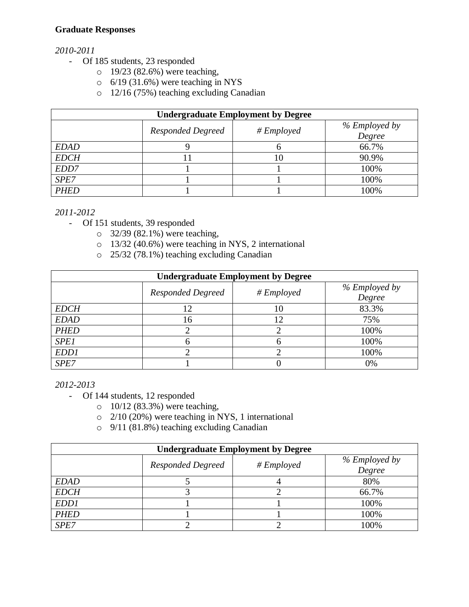## **Graduate Responses**

# *2010-2011*

- Of 185 students, 23 responded
	- o 19/23 (82.6%) were teaching,
	- $\circ$  6/19 (31.6%) were teaching in NYS
	- o 12/16 (75%) teaching excluding Canadian

| <b>Undergraduate Employment by Degree</b> |                          |                          |                         |
|-------------------------------------------|--------------------------|--------------------------|-------------------------|
|                                           | <b>Responded Degreed</b> | $# \n \textit{Employee}$ | % Employed by<br>Degree |
| <b>EDAD</b>                               |                          | О                        | 66.7%                   |
| <b>EDCH</b>                               |                          | 10                       | 90.9%                   |
| EDD7                                      |                          |                          | 100%                    |
| SPE7                                      |                          |                          | 100%                    |
| <b>PHED</b>                               |                          |                          | 100%                    |

*2011-2012*

- Of 151 students, 39 responded
	- o 32/39 (82.1%) were teaching,
	- o 13/32 (40.6%) were teaching in NYS, 2 international
	- o 25/32 (78.1%) teaching excluding Canadian

| <b>Undergraduate Employment by Degree</b> |                          |                          |                         |
|-------------------------------------------|--------------------------|--------------------------|-------------------------|
|                                           | <b>Responded Degreed</b> | $# \n \textit{Employee}$ | % Employed by<br>Degree |
| <b>EDCH</b>                               | 12                       | 10                       | 83.3%                   |
| <b>EDAD</b>                               | l6                       | 12                       | 75%                     |
| <b>PHED</b>                               |                          |                          | 100%                    |
| <b>SPE1</b>                               |                          |                          | 100%                    |
| EDD1                                      |                          |                          | 100%                    |
| SPE7                                      |                          |                          | 0%                      |

*2012-2013*

- Of 144 students, 12 responded
	- o 10/12 (83.3%) were teaching,
	- o 2/10 (20%) were teaching in NYS, 1 international
	- o 9/11 (81.8%) teaching excluding Canadian

| <b>Undergraduate Employment by Degree</b> |                          |                          |                         |
|-------------------------------------------|--------------------------|--------------------------|-------------------------|
|                                           | <b>Responded Degreed</b> | $# \n \textit{Employee}$ | % Employed by<br>Degree |
| <b>EDAD</b>                               |                          |                          | 80%                     |
| <b>EDCH</b>                               |                          |                          | 66.7%                   |
| EDD1                                      |                          |                          | 100%                    |
| <b>PHED</b>                               |                          |                          | 100%                    |
| SPE7                                      |                          |                          | 100%                    |